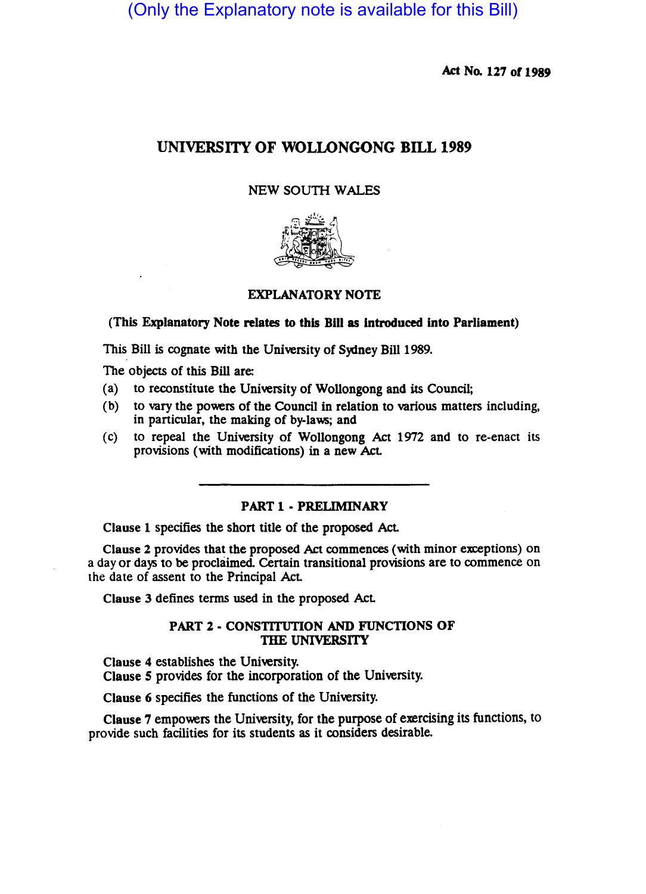(Only the Explanatory note is available for this Bill)

Act No. 127 of 1989

# UNIVERSITY OF WOLLONGONG BILL 1989

## NEW SOUTH WALES



## EXPLANATORY NOTE

## (This Explanatory Note relates to this Bill as introduced into Parliament)

This Bill is cognate with the University of Sydney Bill 1989.

The Objects of this Bill are:

- (a) to reconstitute the University of Wollongong and its Council;
- (b) to vary the powers of the Council in relation to various matters including, in particular, the making of by-laws; and
- (c) to repeal the University of Wollongong Act 1972 and to re-enact its provisions (with modifications) in a new Act.

## PART 1 - PRELIMINARY

Clause 1 specifies the short title of the proposed Act.

Clause 2 provides that the proposed Act commences (with minor exceptions) on a day or days to be proclaimed. Certain transitional provisions are to commence on the date of assent to the Principal Act.

Clause 3 defines terms used in the proposed Act

## PART 2 • CONSTITUTION AND FUNCTIONS OF THE UNIVERSITY

Clause 4 establishes the University. Clause 5 provides for the incorporation of the University.

Clause 6 specifies the functions of the University.

Clause 7 empowers the University, for the purpose of exercising its functions, to provide such facilities for its students as it considers desirable.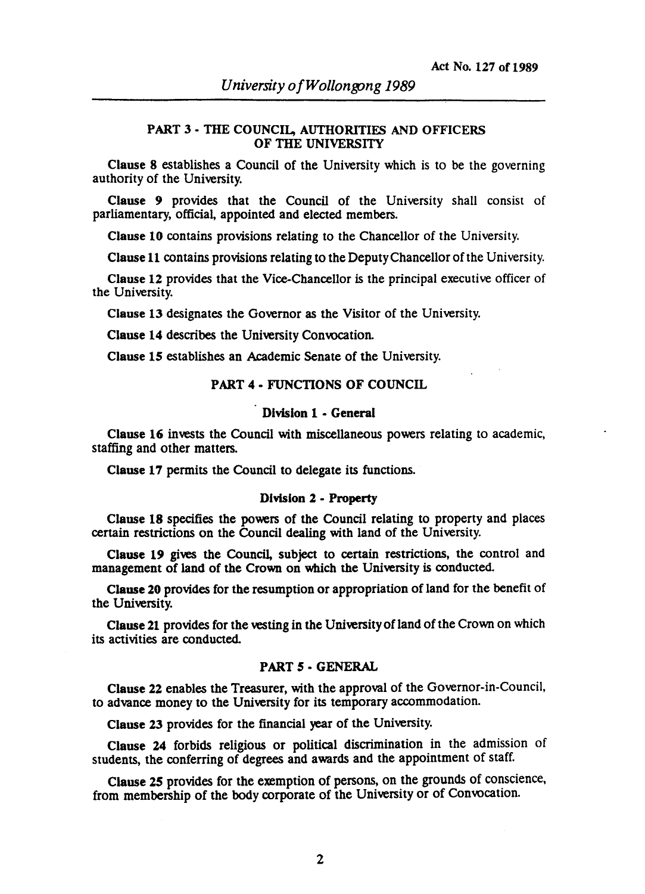## PART 3 - THE COUNCIL, AUTHORITIES AND OFFICERS OF THE UNIVERSITY

Clause 8 establishes a Council of the University which is to be the governing authority of the University.

Clause 9 provides that the Council of the University shall consist of parliamentary, official, appointed and elected members.

Clause 10 contains provisions relating to the Chancellor of the University.

Clause 11 contains provisions relating to the Deputy Chancellor of the University.

Clause 12 provides that the Vice-Chancellor is the principal executive officer of the University.

Clause 13 designates the Governor as the Visitor of the University.

Clause 14 describes the University Convocation.

Clause 15 establishes an Academic Senate of the University.

#### PART 4 - FUNCTIONS OF COUNCIL

#### Division 1 - General

Clause 16 invests the Council with miscellaneous powers relating to academic, staffing and other matters.

Clause 17 permits the Council to delegate its functions.

#### Division 2 - Property

Clause 18 specifies the powers of the Council relating to property and places certain restrictions on the Council dealing with land of the University.

Clause 19 gives the Council, subject to certain restrictions, the control and management of land of the Crown on which the University is conducted.

Clause 20 provides for the resumption or appropriation of land for the benefit of the University.

Clause 21 provides for the vesting in the University of land of the Crown on which its activities are conducted.

#### PART 5 - GENERAL

Clause 22 enables the Treasurer, with the approval of the Governor-in-Council, to advance money to the University for its temporary accommodation.

Clause 23 provides for the financial year of the University.

Clause 24 forbids religious or political discrimination in the admission of students, the conferring of degrees and awards and the appointment of staff.

Clause 25 provides for the exemption of persons, on the grounds of conscience, from membership of the body corporate of the University or of Convocation.